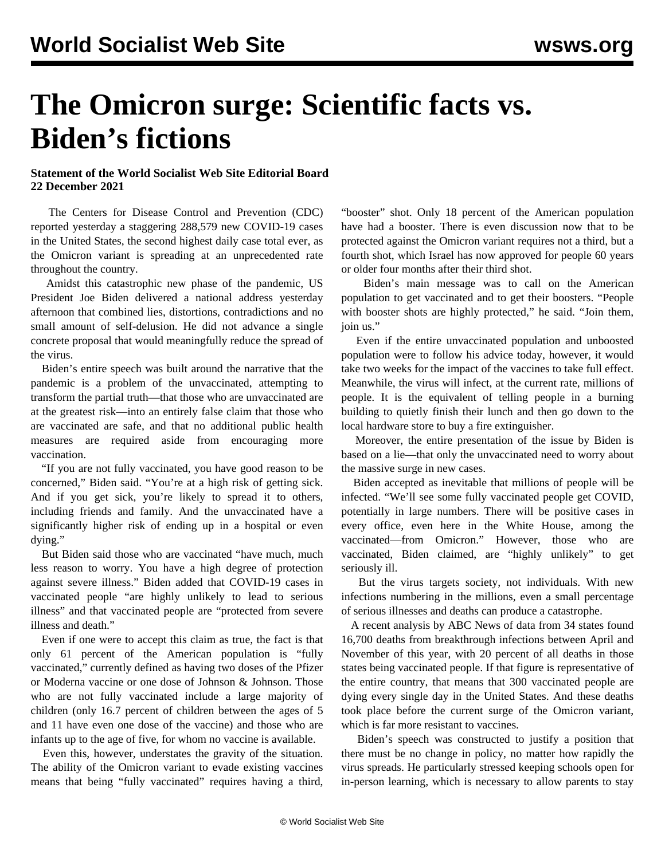## **The Omicron surge: Scientific facts vs. Biden's fictions**

## **Statement of the World Socialist Web Site Editorial Board 22 December 2021**

 The Centers for Disease Control and Prevention (CDC) reported yesterday a staggering 288,579 new COVID-19 cases in the United States, the second highest daily case total ever, as the Omicron variant is spreading at an unprecedented rate throughout the country.

 Amidst this catastrophic new phase of the pandemic, US President Joe Biden delivered a national address yesterday afternoon that combined lies, distortions, contradictions and no small amount of self-delusion. He did not advance a single concrete proposal that would meaningfully reduce the spread of the virus.

 Biden's entire speech was built around the narrative that the pandemic is a problem of the unvaccinated, attempting to transform the partial truth—that those who are unvaccinated are at the greatest risk—into an entirely false claim that those who are vaccinated are safe, and that no additional public health measures are required aside from encouraging more vaccination.

 "If you are not fully vaccinated, you have good reason to be concerned," Biden said. "You're at a high risk of getting sick. And if you get sick, you're likely to spread it to others, including friends and family. And the unvaccinated have a significantly higher risk of ending up in a hospital or even dying."

 But Biden said those who are vaccinated "have much, much less reason to worry. You have a high degree of protection against severe illness." Biden added that COVID-19 cases in vaccinated people "are highly unlikely to lead to serious illness" and that vaccinated people are "protected from severe illness and death."

 Even if one were to accept this claim as true, the fact is that only 61 percent of the American population is "fully vaccinated," currently defined as having two doses of the Pfizer or Moderna vaccine or one dose of Johnson & Johnson. Those who are not fully vaccinated include a large majority of children (only 16.7 percent of children between the ages of 5 and 11 have even one dose of the vaccine) and those who are infants up to the age of five, for whom no vaccine is available.

 Even this, however, understates the gravity of the situation. The ability of the Omicron variant to evade existing vaccines means that being "fully vaccinated" requires having a third, "booster" shot. Only 18 percent of the American population have had a booster. There is even discussion now that to be protected against the Omicron variant requires not a third, but a fourth shot, which Israel has now approved for people 60 years or older four months after their third shot.

 Biden's main message was to call on the American population to get vaccinated and to get their boosters. "People with booster shots are highly protected," he said. "Join them, join us."

 Even if the entire unvaccinated population and unboosted population were to follow his advice today, however, it would take two weeks for the impact of the vaccines to take full effect. Meanwhile, the virus will infect, at the current rate, millions of people. It is the equivalent of telling people in a burning building to quietly finish their lunch and then go down to the local hardware store to buy a fire extinguisher.

 Moreover, the entire presentation of the issue by Biden is based on a lie—that only the unvaccinated need to worry about the massive surge in new cases.

 Biden accepted as inevitable that millions of people will be infected. "We'll see some fully vaccinated people get COVID, potentially in large numbers. There will be positive cases in every office, even here in the White House, among the vaccinated—from Omicron." However, those who are vaccinated, Biden claimed, are "highly unlikely" to get seriously ill.

 But the virus targets society, not individuals. With new infections numbering in the millions, even a small percentage of serious illnesses and deaths can produce a catastrophe.

 A recent analysis by ABC News of data from 34 states found 16,700 deaths from breakthrough infections between April and November of this year, with 20 percent of all deaths in those states being vaccinated people. If that figure is representative of the entire country, that means that 300 vaccinated people are dying every single day in the United States. And these deaths took place before the current surge of the Omicron variant, which is far more resistant to vaccines.

 Biden's speech was constructed to justify a position that there must be no change in policy, no matter how rapidly the virus spreads. He particularly stressed keeping schools open for in-person learning, which is necessary to allow parents to stay